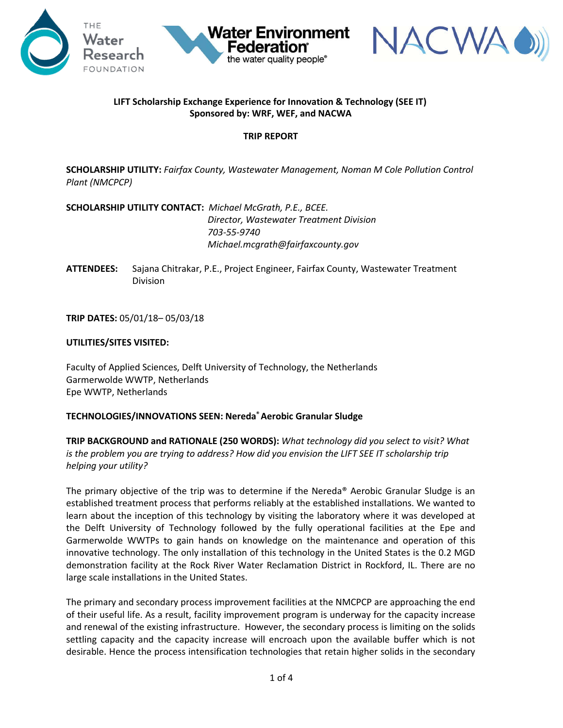





# **LIFT Scholarship Exchange Experience for Innovation & Technology (SEE IT) Sponsored by: WRF, WEF, and NACWA**

# **TRIP REPORT**

**SCHOLARSHIP UTILITY:** *Fairfax County, Wastewater Management, Noman M Cole Pollution Control Plant (NMCPCP)*

**SCHOLARSHIP UTILITY CONTACT:** *Michael McGrath, P.E., BCEE. Director, Wastewater Treatment Division 703-55-9740 Michael.mcgrath@fairfaxcounty.gov*

**ATTENDEES:** Sajana Chitrakar, P.E., Project Engineer, Fairfax County, Wastewater Treatment Division

**TRIP DATES:** 05/01/18– 05/03/18

### **UTILITIES/SITES VISITED:**

Faculty of Applied Sciences, Delft University of Technology, the Netherlands Garmerwolde WWTP, Netherlands Epe WWTP, Netherlands

### **TECHNOLOGIES/INNOVATIONS SEEN: Nereda® Aerobic Granular Sludge**

**TRIP BACKGROUND and RATIONALE (250 WORDS):** *What technology did you select to visit? What*  is the problem you are trying to address? How did you envision the LIFT SEE IT scholarship trip *helping your utility?* 

The primary objective of the trip was to determine if the Nereda® Aerobic Granular Sludge is an established treatment process that performs reliably at the established installations. We wanted to learn about the inception of this technology by visiting the laboratory where it was developed at the Delft University of Technology followed by the fully operational facilities at the Epe and Garmerwolde WWTPs to gain hands on knowledge on the maintenance and operation of this innovative technology. The only installation of this technology in the United States is the 0.2 MGD demonstration facility at the Rock River Water Reclamation District in Rockford, IL. There are no large scale installations in the United States.

The primary and secondary process improvement facilities at the NMCPCP are approaching the end of their useful life. As a result, facility improvement program is underway for the capacity increase and renewal of the existing infrastructure. However, the secondary process is limiting on the solids settling capacity and the capacity increase will encroach upon the available buffer which is not desirable. Hence the process intensification technologies that retain higher solids in the secondary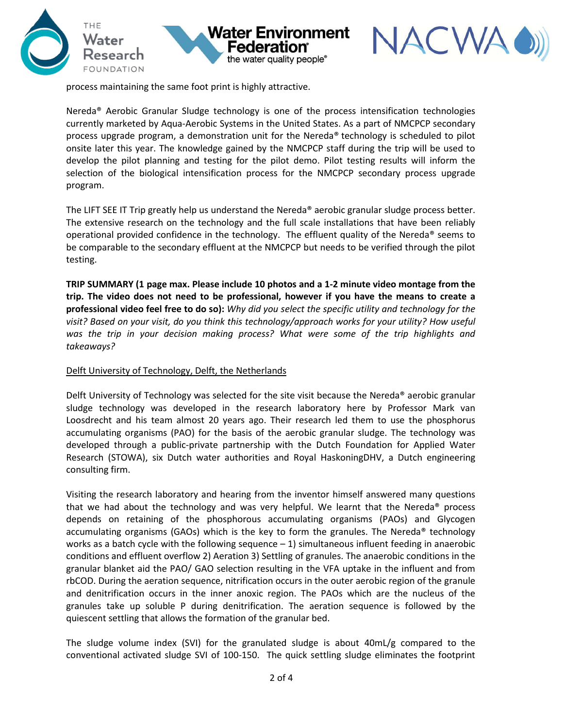





process maintaining the same foot print is highly attractive.

Nereda® Aerobic Granular Sludge technology is one of the process intensification technologies currently marketed by Aqua-Aerobic Systems in the United States. As a part of NMCPCP secondary process upgrade program, a demonstration unit for the Nereda® technology is scheduled to pilot onsite later this year. The knowledge gained by the NMCPCP staff during the trip will be used to develop the pilot planning and testing for the pilot demo. Pilot testing results will inform the selection of the biological intensification process for the NMCPCP secondary process upgrade program.

The LIFT SEE IT Trip greatly help us understand the Nereda® aerobic granular sludge process better. The extensive research on the technology and the full scale installations that have been reliably operational provided confidence in the technology. The effluent quality of the Nereda® seems to be comparable to the secondary effluent at the NMCPCP but needs to be verified through the pilot testing.

**TRIP SUMMARY (1 page max. Please include 10 photos and a 1-2 minute video montage from the trip. The video does not need to be professional, however if you have the means to create a professional video feel free to do so):** *Why did you select the specific utility and technology for the visit? Based on your visit, do you think this technology/approach works for your utility? How useful was the trip in your decision making process? What were some of the trip highlights and takeaways?* 

### Delft University of Technology, Delft, the Netherlands

Delft University of Technology was selected for the site visit because the Nereda® aerobic granular sludge technology was developed in the research laboratory here by Professor Mark van Loosdrecht and his team almost 20 years ago. Their research led them to use the phosphorus accumulating organisms (PAO) for the basis of the aerobic granular sludge. The technology was developed through a public-private partnership with the Dutch Foundation for Applied Water Research (STOWA), six Dutch water authorities and Royal HaskoningDHV, a Dutch engineering consulting firm.

Visiting the research laboratory and hearing from the inventor himself answered many questions that we had about the technology and was very helpful. We learnt that the Nereda<sup>®</sup> process depends on retaining of the phosphorous accumulating organisms (PAOs) and Glycogen accumulating organisms (GAOs) which is the key to form the granules. The Nereda® technology works as a batch cycle with the following sequence  $-1$ ) simultaneous influent feeding in anaerobic conditions and effluent overflow 2) Aeration 3) Settling of granules. The anaerobic conditions in the granular blanket aid the PAO/ GAO selection resulting in the VFA uptake in the influent and from rbCOD. During the aeration sequence, nitrification occurs in the outer aerobic region of the granule and denitrification occurs in the inner anoxic region. The PAOs which are the nucleus of the granules take up soluble P during denitrification. The aeration sequence is followed by the quiescent settling that allows the formation of the granular bed.

The sludge volume index (SVI) for the granulated sludge is about 40mL/g compared to the conventional activated sludge SVI of 100-150. The quick settling sludge eliminates the footprint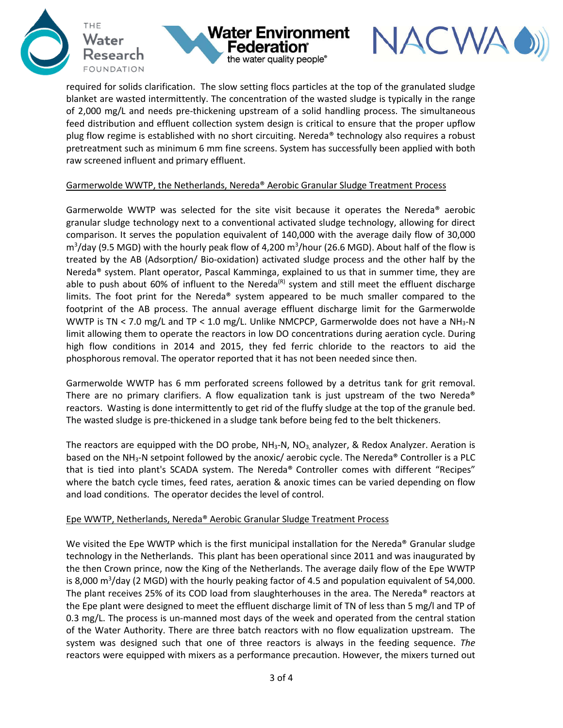





required for solids clarification. The slow setting flocs particles at the top of the granulated sludge blanket are wasted intermittently. The concentration of the wasted sludge is typically in the range of 2,000 mg/L and needs pre-thickening upstream of a solid handling process. The simultaneous feed distribution and effluent collection system design is critical to ensure that the proper upflow plug flow regime is established with no short circuiting. Nereda® technology also requires a robust pretreatment such as minimum 6 mm fine screens. System has successfully been applied with both raw screened influent and primary effluent.

#### Garmerwolde WWTP, the Netherlands, Nereda® Aerobic Granular Sludge Treatment Process

Garmerwolde WWTP was selected for the site visit because it operates the Nereda® aerobic granular sludge technology next to a conventional activated sludge technology, allowing for direct comparison. It serves the population equivalent of 140,000 with the average daily flow of 30,000  $m^3$ /day (9.5 MGD) with the hourly peak flow of 4,200  $m^3$ /hour (26.6 MGD). About half of the flow is treated by the AB (Adsorption/ Bio-oxidation) activated sludge process and the other half by the Nereda® system. Plant operator, Pascal Kamminga, explained to us that in summer time, they are able to push about 60% of influent to the Nereda<sup>(R)</sup> system and still meet the effluent discharge limits. The foot print for the Nereda® system appeared to be much smaller compared to the footprint of the AB process. The annual average effluent discharge limit for the Garmerwolde WWTP is TN < 7.0 mg/L and TP < 1.0 mg/L. Unlike NMCPCP, Garmerwolde does not have a NH<sub>3</sub>-N limit allowing them to operate the reactors in low DO concentrations during aeration cycle. During high flow conditions in 2014 and 2015, they fed ferric chloride to the reactors to aid the phosphorous removal. The operator reported that it has not been needed since then.

Garmerwolde WWTP has 6 mm perforated screens followed by a detritus tank for grit removal. There are no primary clarifiers. A flow equalization tank is just upstream of the two Nereda<sup>®</sup> reactors. Wasting is done intermittently to get rid of the fluffy sludge at the top of the granule bed. The wasted sludge is pre-thickened in a sludge tank before being fed to the belt thickeners.

The reactors are equipped with the DO probe,  $NH<sub>3</sub>-N$ ,  $NO<sub>3</sub>$  analyzer, & Redox Analyzer. Aeration is based on the NH3-N setpoint followed by the anoxic/ aerobic cycle. The Nereda® Controller is a PLC that is tied into plant's SCADA system. The Nereda® Controller comes with different "Recipes" where the batch cycle times, feed rates, aeration & anoxic times can be varied depending on flow and load conditions. The operator decides the level of control.

### Epe WWTP, Netherlands, Nereda® Aerobic Granular Sludge Treatment Process

We visited the Epe WWTP which is the first municipal installation for the Nereda® Granular sludge technology in the Netherlands. This plant has been operational since 2011 and was inaugurated by the then Crown prince, now the King of the Netherlands. The average daily flow of the Epe WWTP is 8,000 m<sup>3</sup>/day (2 MGD) with the hourly peaking factor of 4.5 and population equivalent of 54,000. The plant receives 25% of its COD load from slaughterhouses in the area. The Nereda® reactors at the Epe plant were designed to meet the effluent discharge limit of TN of less than 5 mg/l and TP of 0.3 mg/L. The process is un-manned most days of the week and operated from the central station of the Water Authority. There are three batch reactors with no flow equalization upstream. The system was designed such that one of three reactors is always in the feeding sequence. *The* reactors were equipped with mixers as a performance precaution. However, the mixers turned out